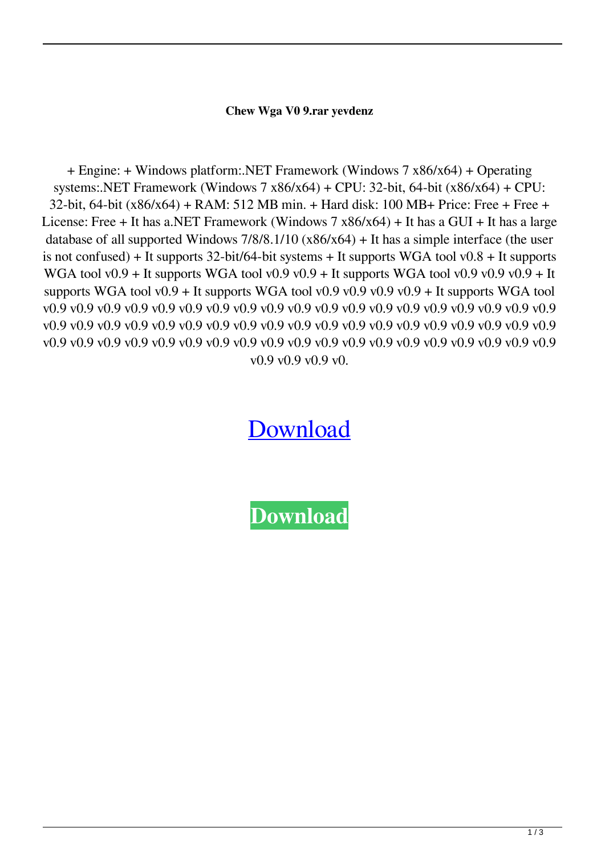## **Chew Wga V0 9.rar yevdenz**

+ Engine: + Windows platform:.NET Framework (Windows 7 x86/x64) + Operating systems:.NET Framework (Windows  $7 \times 86 \times 64$ ) + CPU: 32-bit, 64-bit ( $\times 86 \times 64$ ) + CPU: 32-bit, 64-bit (x86/x64) + RAM: 512 MB min. + Hard disk: 100 MB+ Price: Free + Free + License: Free + It has a.NET Framework (Windows 7 x86/x64) + It has a GUI + It has a large database of all supported Windows  $7/8/8.1/10$  (x $86/x64$ ) + It has a simple interface (the user is not confused) + It supports 32-bit/64-bit systems + It supports WGA tool v0.8 + It supports WGA tool v0.9 + It supports WGA tool v0.9 v0.9 + It supports WGA tool v0.9 v0.9 v0.9 + It supports WGA tool v0.9 + It supports WGA tool v0.9 v0.9 v0.9 v0.9 + It supports WGA tool v0.9 v0.9 v0.9 v0.9 v0.9 v0.9 v0.9 v0.9 v0.9 v0.9 v0.9 v0.9 v0.9 v0.9 v0.9 v0.9 v0.9 v0.9 v0.9 v0.9 v0.9 v0.9 v0.9 v0.9 v0.9 v0.9 v0.9 v0.9 v0.9 v0.9 v0.9 v0.9 v0.9 v0.9 v0.9 v0.9 v0.9 v0.9 v0.9 v0.9 v0.9 v0.9 v0.9 v0.9 v0.9 v0.9 v0.9 v0.9 v0.9 v0.9 v0.9 v0.9 v0.9 v0.9 v0.9 v0.9 v0.9 v0.9 v0.9 v0.9 v0.

[Download](http://evacdir.com/crimechecker/etruscan/morgellons.silencing?utilising.Q2hldyBXZ2EgVjAgOS5yYXIQ2h=ZG93bmxvYWR8dTNmTWpZNU9YeDhNVFkxTWpRMk16QTFNSHg4TWpVM05IeDhLRTBwSUhKbFlXUXRZbXh2WnlCYlJtRnpkQ0JIUlU1ZA)

**[Download](http://evacdir.com/crimechecker/etruscan/morgellons.silencing?utilising.Q2hldyBXZ2EgVjAgOS5yYXIQ2h=ZG93bmxvYWR8dTNmTWpZNU9YeDhNVFkxTWpRMk16QTFNSHg4TWpVM05IeDhLRTBwSUhKbFlXUXRZbXh2WnlCYlJtRnpkQ0JIUlU1ZA)**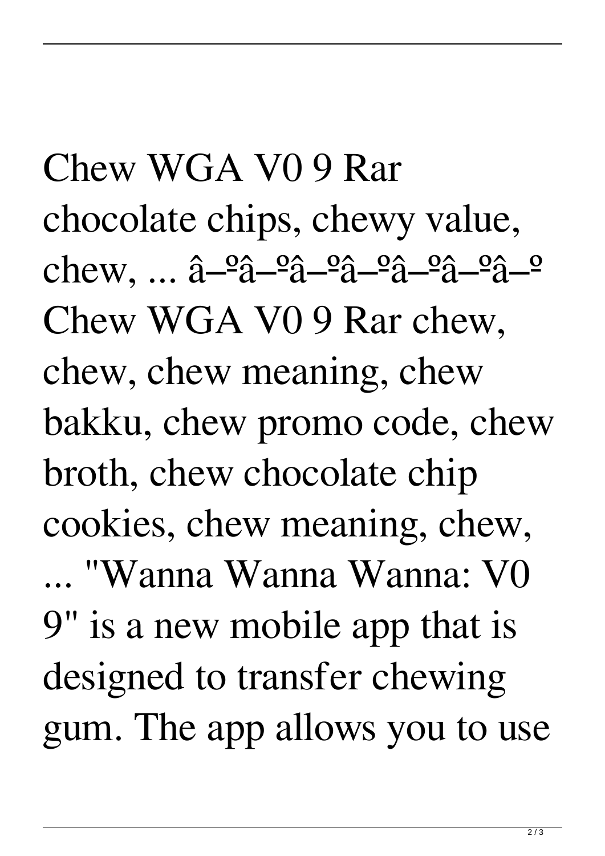Chew WGA V0 9 Rar chocolate chips, chewy value,  $chew, \ldots \hat{a} - \hat{a} - \hat{a} - \hat{a} - \hat{a} - \hat{a} - \hat{a} - \hat{a} - \hat{a} - \hat{a}$ Chew WGA V0 9 Rar chew, chew, chew meaning, chew bakku, chew promo code, chew broth, chew chocolate chip cookies, chew meaning, chew, ... "Wanna Wanna Wanna: V0 9" is a new mobile app that is designed to transfer chewing gum. The app allows you to use